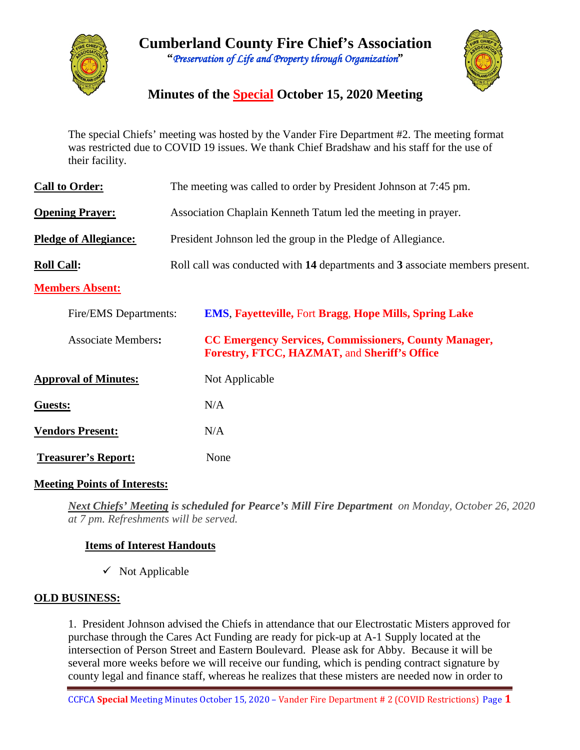



# **Minutes of the Special October 15, 2020 Meeting**

The special Chiefs' meeting was hosted by the Vander Fire Department #2. The meeting format was restricted due to COVID 19 issues. We thank Chief Bradshaw and his staff for the use of their facility.

| <b>Call to Order:</b>        | The meeting was called to order by President Johnson at 7:45 pm.                                             |  |  |  |  |  |  |  |  |
|------------------------------|--------------------------------------------------------------------------------------------------------------|--|--|--|--|--|--|--|--|
| <b>Opening Prayer:</b>       | Association Chaplain Kenneth Tatum led the meeting in prayer.                                                |  |  |  |  |  |  |  |  |
| <b>Pledge of Allegiance:</b> | President Johnson led the group in the Pledge of Allegiance.                                                 |  |  |  |  |  |  |  |  |
| <b>Roll Call:</b>            | Roll call was conducted with 14 departments and 3 associate members present.                                 |  |  |  |  |  |  |  |  |
| <b>Members Absent:</b>       |                                                                                                              |  |  |  |  |  |  |  |  |
| Fire/EMS Departments:        | <b>EMS, Fayetteville, Fort Bragg, Hope Mills, Spring Lake</b>                                                |  |  |  |  |  |  |  |  |
| <b>Associate Members:</b>    | <b>CC Emergency Services, Commissioners, County Manager,</b><br>Forestry, FTCC, HAZMAT, and Sheriff's Office |  |  |  |  |  |  |  |  |
| <b>Approval of Minutes:</b>  | Not Applicable                                                                                               |  |  |  |  |  |  |  |  |
| Guests:                      | N/A                                                                                                          |  |  |  |  |  |  |  |  |
| <b>Vendors Present:</b>      | N/A                                                                                                          |  |  |  |  |  |  |  |  |
| <b>Treasurer's Report:</b>   | None                                                                                                         |  |  |  |  |  |  |  |  |

#### **Meeting Points of Interests:**

*Next Chiefs' Meeting is scheduled for Pearce's Mill Fire Department on Monday, October 26, 2020 at 7 pm. Refreshments will be served.* 

### **Items of Interest Handouts**

 $\checkmark$  Not Applicable

### **OLD BUSINESS:**

1. President Johnson advised the Chiefs in attendance that our Electrostatic Misters approved for purchase through the Cares Act Funding are ready for pick-up at A-1 Supply located at the intersection of Person Street and Eastern Boulevard. Please ask for Abby. Because it will be several more weeks before we will receive our funding, which is pending contract signature by county legal and finance staff, whereas he realizes that these misters are needed now in order to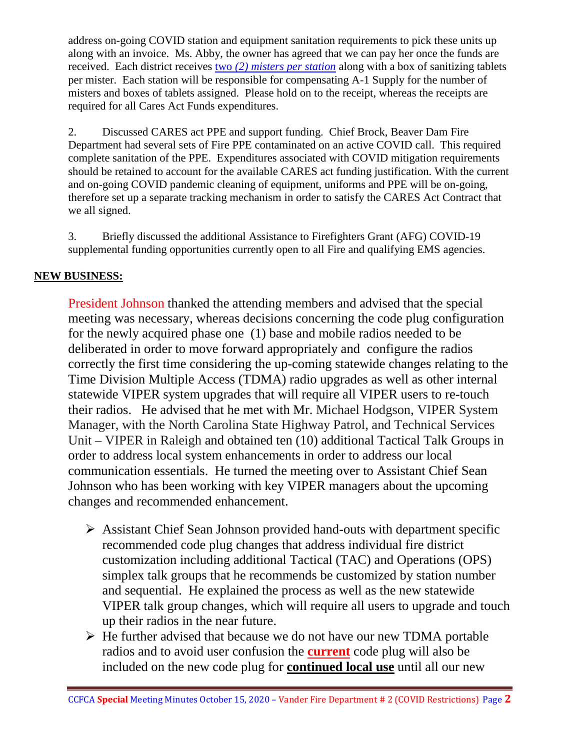address on-going COVID station and equipment sanitation requirements to pick these units up along with an invoice. Ms. Abby, the owner has agreed that we can pay her once the funds are received. Each district receives two *(2) misters per station* along with a box of sanitizing tablets per mister. Each station will be responsible for compensating A-1 Supply for the number of misters and boxes of tablets assigned. Please hold on to the receipt, whereas the receipts are required for all Cares Act Funds expenditures.

2. Discussed CARES act PPE and support funding. Chief Brock, Beaver Dam Fire Department had several sets of Fire PPE contaminated on an active COVID call. This required complete sanitation of the PPE. Expenditures associated with COVID mitigation requirements should be retained to account for the available CARES act funding justification. With the current and on-going COVID pandemic cleaning of equipment, uniforms and PPE will be on-going, therefore set up a separate tracking mechanism in order to satisfy the CARES Act Contract that we all signed.

3. Briefly discussed the additional Assistance to Firefighters Grant (AFG) COVID-19 supplemental funding opportunities currently open to all Fire and qualifying EMS agencies.

# **NEW BUSINESS:**

President Johnson thanked the attending members and advised that the special meeting was necessary, whereas decisions concerning the code plug configuration for the newly acquired phase one (1) base and mobile radios needed to be deliberated in order to move forward appropriately and configure the radios correctly the first time considering the up-coming statewide changes relating to the Time Division Multiple Access (TDMA) radio upgrades as well as other internal statewide VIPER system upgrades that will require all VIPER users to re-touch their radios. He advised that he met with Mr. Michael Hodgson, VIPER System Manager, with the North Carolina State Highway Patrol, and Technical Services Unit – VIPER in Raleigh and obtained ten (10) additional Tactical Talk Groups in order to address local system enhancements in order to address our local communication essentials. He turned the meeting over to Assistant Chief Sean Johnson who has been working with key VIPER managers about the upcoming changes and recommended enhancement.

- $\triangleright$  Assistant Chief Sean Johnson provided hand-outs with department specific recommended code plug changes that address individual fire district customization including additional Tactical (TAC) and Operations (OPS) simplex talk groups that he recommends be customized by station number and sequential. He explained the process as well as the new statewide VIPER talk group changes, which will require all users to upgrade and touch up their radios in the near future.
- $\triangleright$  He further advised that because we do not have our new TDMA portable radios and to avoid user confusion the **current** code plug will also be included on the new code plug for **continued local use** until all our new

CCFCA **Special** Meeting Minutes October 15, 2020 – Vander Fire Department # 2 (COVID Restrictions) Page **2**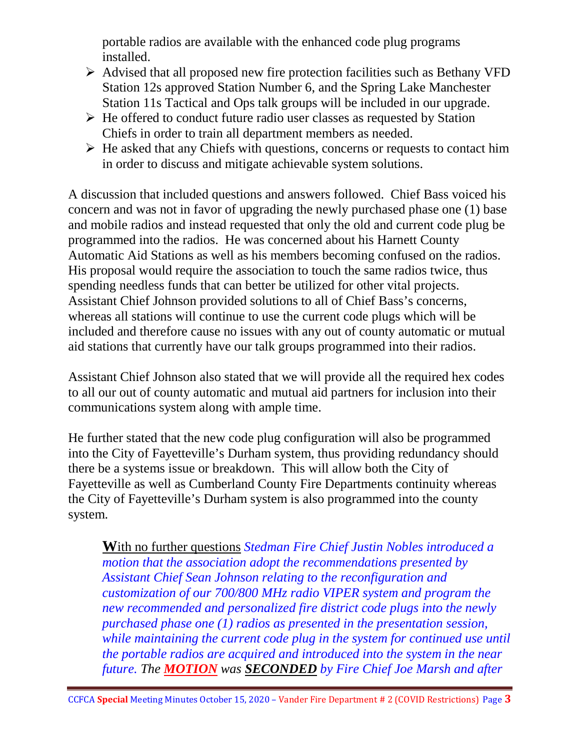portable radios are available with the enhanced code plug programs installed.

- $\triangleright$  Advised that all proposed new fire protection facilities such as Bethany VFD Station 12s approved Station Number 6, and the Spring Lake Manchester Station 11s Tactical and Ops talk groups will be included in our upgrade.
- $\triangleright$  He offered to conduct future radio user classes as requested by Station Chiefs in order to train all department members as needed.
- $\triangleright$  He asked that any Chiefs with questions, concerns or requests to contact him in order to discuss and mitigate achievable system solutions.

A discussion that included questions and answers followed. Chief Bass voiced his concern and was not in favor of upgrading the newly purchased phase one (1) base and mobile radios and instead requested that only the old and current code plug be programmed into the radios. He was concerned about his Harnett County Automatic Aid Stations as well as his members becoming confused on the radios. His proposal would require the association to touch the same radios twice, thus spending needless funds that can better be utilized for other vital projects. Assistant Chief Johnson provided solutions to all of Chief Bass's concerns, whereas all stations will continue to use the current code plugs which will be included and therefore cause no issues with any out of county automatic or mutual aid stations that currently have our talk groups programmed into their radios.

Assistant Chief Johnson also stated that we will provide all the required hex codes to all our out of county automatic and mutual aid partners for inclusion into their communications system along with ample time.

He further stated that the new code plug configuration will also be programmed into the City of Fayetteville's Durham system, thus providing redundancy should there be a systems issue or breakdown. This will allow both the City of Fayetteville as well as Cumberland County Fire Departments continuity whereas the City of Fayetteville's Durham system is also programmed into the county system.

**W**ith no further questions *Stedman Fire Chief Justin Nobles introduced a motion that the association adopt the recommendations presented by Assistant Chief Sean Johnson relating to the reconfiguration and customization of our 700/800 MHz radio VIPER system and program the new recommended and personalized fire district code plugs into the newly purchased phase one (1) radios as presented in the presentation session, while maintaining the current code plug in the system for continued use until the portable radios are acquired and introduced into the system in the near future. The MOTION was SECONDED by Fire Chief Joe Marsh and after*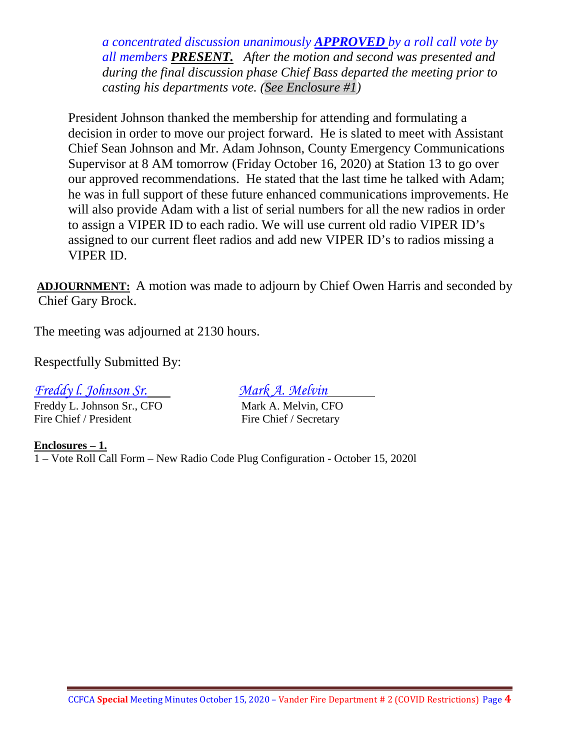*a concentrated discussion unanimously APPROVED by a roll call vote by all members PRESENT. After the motion and second was presented and during the final discussion phase Chief Bass departed the meeting prior to casting his departments vote. (See Enclosure #1)* 

President Johnson thanked the membership for attending and formulating a decision in order to move our project forward. He is slated to meet with Assistant Chief Sean Johnson and Mr. Adam Johnson, County Emergency Communications Supervisor at 8 AM tomorrow (Friday October 16, 2020) at Station 13 to go over our approved recommendations. He stated that the last time he talked with Adam; he was in full support of these future enhanced communications improvements. He will also provide Adam with a list of serial numbers for all the new radios in order to assign a VIPER ID to each radio. We will use current old radio VIPER ID's assigned to our current fleet radios and add new VIPER ID's to radios missing a VIPER ID.

**ADJOURNMENT:** A motion was made to adjourn by Chief Owen Harris and seconded by Chief Gary Brock.

The meeting was adjourned at 2130 hours.

Respectfully Submitted By:

*Freddy l. Johnson Sr. Mark A. Melvin*

Freddy L. Johnson Sr., CFO Mark A. Melvin, CFO Fire Chief / President Fire Chief / Secretary

**Enclosures – 1.** 1 – Vote Roll Call Form – New Radio Code Plug Configuration - October 15, 2020l